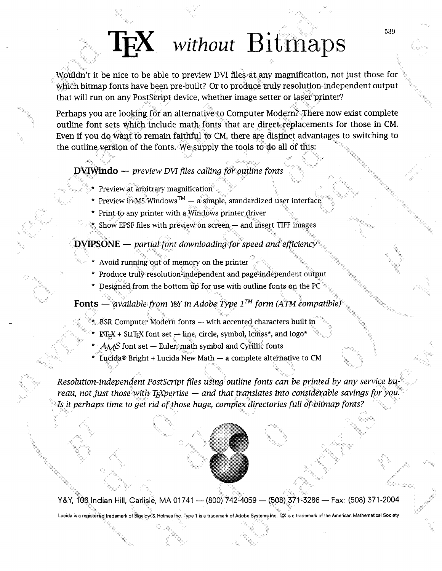# **IFX** without Bitmaps

Wouldn't it be nice to be able to preview DVI files at any magnification, not just those for which bitmap fonts have been pre-built? Or to produce truly resolution-independent output that will run on any Postscript device, whether image setter or laser printer?

Perhaps you are looking for an alternative to Computer Modern? There now exist complete outline font sets which include math fonts that are direct replacements for those in CM. Even if you do want to remain faithful to CM, there are distinct advantages to switching to the outline version of the fonts. We supply the tools to do all of this:

#### *<u>bVIWindo</u> — <i>preview DVI* files calling for outline fonts

- \* Preview at arbitrary magnification
- \* Preview in MS Windows<sup>TM</sup>  $-$  a simple, standardized user interface<br>\* Print to any printer with a Windows printer driver
- 
- $\mathcal{A}$  Show EPSF files with preview on screen  $-$  and insert TIFF images

#### **DVIPSONE** — partial font downloading for speed and efficiency

- Avoid running out of memory on the printer
- \* Produce truly resolution-independent and page-independent output
- \* Designed from the bottom up for use with outline fonts on the PC

**Fonts** — *available from YeY in Adobe Type*  $1^{TM}$  form (ATM compatible)

- 
- \*...BSR Computer Modern fonts with accented characters built in<br>\* ET<sub>E</sub>X + SLITEX font set line, circle, symbol, lcmss\*, and logo\*
- $A \wedge A$ S font set Euler, math symbol and Cyrillic fonts
- \* Lucida® Bright + Lucida New Math a complete alternative to CM

*Resolution-independent PostScript files using outline fonts can be printed by any service bureau, not just those with TgXpertise — and that translates into considerable savings for you.* Is it perhaps time to get rid of those huge, complex directories full of bitmap fonts?

<sup>86</sup>- **Fax:** (508) **37** 1 **-2004** Lucida is a registered trademark of Bigelow & Holmes Inc. Type 1 is a trademark of Adobe Systems Inc. Tex is a trademark of the American Mathematical Society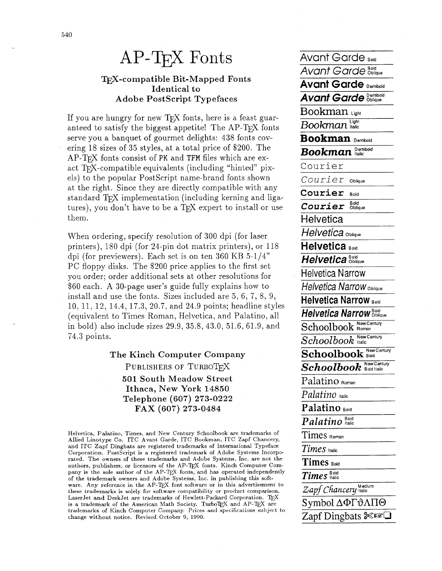## $AP$ -T $FX$  Fonts

#### T<sub>F</sub>X-compatible Bit-Mapped Fonts Identical to **Adobe PostScript Typefaces**

If you are hungry for new T<sub>F</sub>X fonts, here is a feast guaranteed to satisfy the biggest appetite! The AP-TFX fonts serve you a banquet of gourmet delights: 438 fonts covering 18 sizes of 35 styles, at a total price of \$200. The AP-T<sub>F</sub>X fonts consist of PK and TFM files which are exact T<sub>F</sub>X-compatible equivalents (including "hinted" pixels) to the popular PostScript name-brand fonts shown at the right. Since they are directly compatible with any standard T<sub>F</sub>X implementation (including kerning and ligatures), you don't have to be a T<sub>F</sub>X expert to install or use them.

When ordering, specify resolution of 300 dpi (for laser printers), 180 dpi (for 24-pin dot matrix printers), or 118 dpi (for previewers). Each set is on ten 360 KB  $5-1/4$ " PC floppy disks. The \$200 price applies to the first set you order; order additional sets at other resolutions for \$60 each. A 30-page user's guide fully explains how to install and use the fonts. Sizes included are  $5, 6, 7, 8, 9$ , 10, 11, 12, 14.4, 17.3, 20.7, and 24.9 points; headline styles (equivalent to Times Roman, Helvetica, and Palatino, all in bold) also include sizes 29.9, 35.8, 43.0, 51.6, 61.9, and 74.3 points.

> The Kinch Computer Company PUBLISHERS OF TURBOTEX 501 South Meadow Street Ithaca, New York 14850 Telephone (607) 273-0222 FAX (607) 273-0484

Helvetica, Palatino, Times, and New Century Schoolbook are trademarks of Allied Linotype Co. ITC Avant Garde, ITC Bookman, ITC Zapf Chancery, and ITC Zapf Dingbats are registered trademarks of International Typeface Corporation. PostScript is a registered trademark of Adobe Systems Incorporated. The owners of these trademarks and Adobe Systems, Inc. are not the authors, publishers, or licensors of the AP-TEX fonts. Kinch Computer Company is the sole author of the AP-TEX fonts, and has operated independently of the trademark owners and Adobe Systems, Inc. in publishing this software. Any reference in the AP-TEX font software or in this advertisement to these trademarks is solely for software compatibility or product comparison. LaserJet and DeskJet are trademarks of Hewlett-Packard Corporation. TFX is a trademark of the American Math Society. TurboTEX and AP-TEX are trademarks of Kinch Computer Company. Prices and specifications subject to change without notice. Revised October 9, 1990.

Avant Garde Boid **Avant Garde Bold Avant Garde Demitoid Avant Garde Demibold**  $Bookman$  $Bookman$  Light **Bookman** Demitold **Bookman** Demibold Courier Courier Oblique Courier Bold Courier Bold Helvetica Helvetica Oblique Helvetica Bold Helvetica Bold **Helvetica Narrow Helvetica Narrow Oblique Helvetica Narrow Bold** Helvetica Narrow Boldgue Schoolbook Roman Schoolbook New Century Schoolbook New Century **Schoolbook** New Century Palatino Roman Palatino lialic Palatino Bold  $\overline{Palatino}^{\text{Bold}}_{\text{halic}}$ Times Roman Times Halic Times Bold  $\overline{Times}_{\text{halic}}^{\text{Bold}}$ Zapf Chancery Medium  $Symbol \Delta \Phi \Gamma \vartheta \Lambda \Pi \Theta$ Zapf Dingbats  $\mathbb{R}$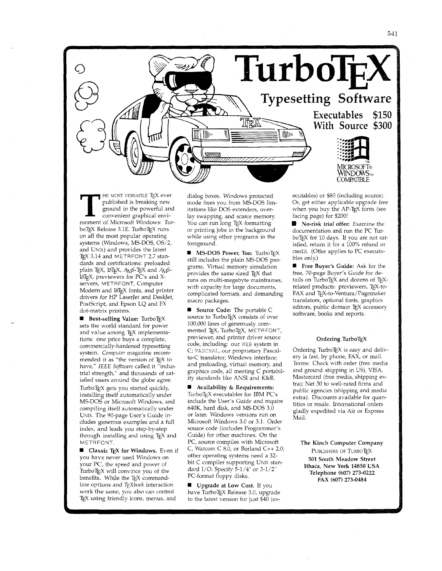

**THE MOST VERSATILE TEX ever**<br>published is breaking new<br>ground in the powerful and<br>convenient graphical environment of Microsoft Windows: Tur published is breaking new ground in the powerful and convenient graphical environment of Microsoft Windows: Tur boTEX Release 3.1E. TurboTEX runs on all the most popular operating systems (Windows, MS-DOS, OS/2, and UNLX) and provides the latest TEX 3.14 and METAFONT 2.7 standards and certifications: preloaded plain TEX, LATEX, AMS-TEX and AMS- $14T_{\rm E}X$ , previewers for PC's and Xservers, METAFONT, Computer Modern and IATEX fonts, and printer drivers for HP LaserJet and DeskJet, PostScript, and Epson LQ and FX dot-matrix printers.

**6 Best-selling Value:** TurboTEX sets the world standard for power and value among TEX implementations: one price buys a complete, commercially-hardened typesetting system. Computer magazine recommended it as "the version of TEX to have," *IEEE* Software called it "industrial strength," and thousands of satisfied users around the globe agree. TurboT<sub>E</sub>X gets you started quickly, installing itself automatically under MS-DOS or Microsoft Windows, and compiling itself automatically under UNIx. The 90-page User's Guide includes generous examples and a full index, and leads you step-by-step through installing and using TEX and METAFONT.

**6 Classic TEX for Windows.** Even if you have never used Windows on your PC, the speed and power of Turbo $T_{E}X$  will convince you of the benefits. While the TEX commandline options and *T<sub>E</sub>Xbook* interaction work the same, you also can control TEX using friendly icons, menus, and

dialog boxes. Windows protected mode frees you from MS-DOS limitations like DOS extenders, overlay swapping, and scarce memory: You can run long TEX formatting or printing jobs in the background while using other programs in the foreground.

**6 MS-DOS Power, Too: TurboTEX** still includes the plain MS-DOS programs. Virtual memory simulation provides the same sized TEX that runs on multi-megabyte mainframes, with capacity for large documents, complicated formats, and demanding macro packages.

**6** Source Code: The portable C source to TurboTEX consists of over 100,000 lines of generously commented TEX, TurboTEX, METAFONT, previewer, and printer driver source code, including: our WEB system in C; PASCHAL, our proprietary Pascalto-C translator; Windows interface; and preloading, virtual memory, and graphics code, all meeting C portability standards like ANSI and K&R.

**6** Availability & Requirements: TurboTFX executables for IBM PC's include the User's Guide and require 640K, hard disk, and MS-DOS 3.0 or later. Windows versions run on Microsoft Windows 3.0 or 3.1. Order source code (includes Programmer's Guide) for other machines. On the PC, source compiles with Microsoft C, Watcom C 8.0, or Borland C++ 2.0; other operating systems need a 32 bit C compiler supporting UNIX standard I/O. Specify 5-1/4" or 3-1/2" PC-format floppy disks.

 $\blacksquare$  Upgrade at Low Cost. If you have TurboTEX Release 3.0, upgrade to the latest version for just \$40 (ex-

ecutables) or \$80 (including source). Or, get either applicable upgrade free when you buy the AP-TEX fonts (see facing page) for \$200!

No-risk trial offer: Examine the documentation and run the PC Tur boTEX for 10 days. If you are not satisfied, return it for a 100% refund or credit. (Offer applies to PC executables only.)

**<sup>1</sup>** Free Buyer's Guide: Ask for the free, 70-page Buyer's Guide for details on  $TurboT_FX$  and dozens of  $T_FX$ related products: previewers, TFX-to-FAX and TEX-to-Ventura/Pagemaker translators, optional fonts, graphics editors, public domain TEX accessory software, books and reports.

#### Ordering TurboTFX

Ordering TurboT $EX$  is easy and delivery is fast, by phone, FAX, or mail. Terms: Check with order (free media and ground shipping in US), VISA, Mastercard (free media, shipping extra); Net 30 to well-rated firms and public agencies (shipping and media extra). Discounts available for quantities or resale. International orders gladly expedited via Air or Express Mail.

The Kinch Computer Company PUBLISHERS OF TURBOTEX **501** South Meadow Street Ithaca, New York **14850** USA Telephone **(607) 273-0222**  FAX **(607) 273-0484**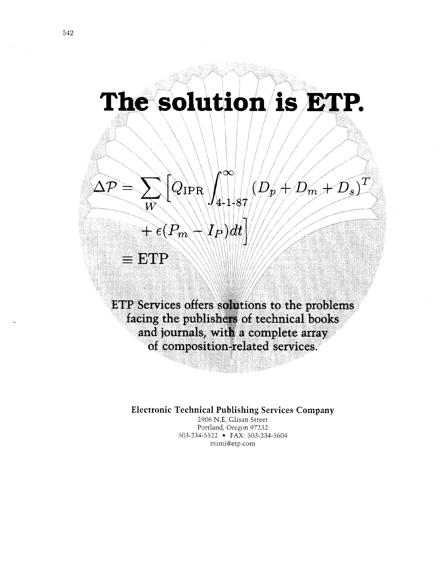# The solution is ETP.

 $\infty$ 

 $^{\prime}$ 4-1-87

 $\langle I_P \rangle dt$ 

 $^{\prime\prime}D$  $\bm{v}$ 

 $\overline{m}$ 

 $Q_{\rm IPR}$ 

 $\overrightarrow{P_{m}}$ 

 $\equiv$  ETP

 $\vert T \vert$ 

ETP Services offers solutions to the problems facing the publishers of technical books and journals, with a complete array of composition-related services.

#### **Electronic Technical Publishing Services Company**

<sup>2906</sup>N.E. Glisan Street Portland, Oregon 97232 503-234-5522 FAX: 503-234-5604 mimi@etp.com

 $\wedge \mathcal{I}$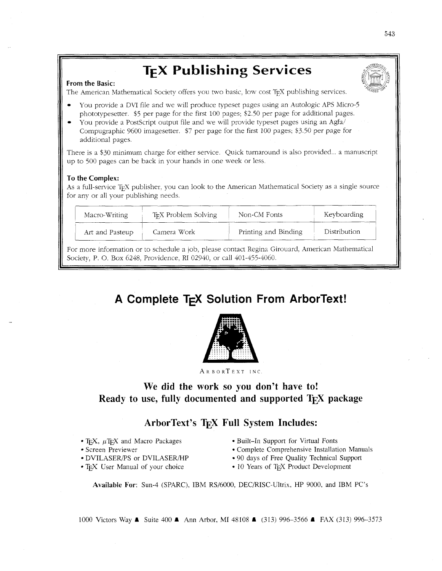## **TEX Publishing Services**

#### **From the Basic:**

The American Mathematical Society offers you two basic, low cost TEX publishing services.

- You provide a DVI file and we will produce typeset pages using an Autologic APS Micro-5 phototypesetter. *\$5* per page for the first 100 pages; 52.50 per page for additional pages.
- You provide a PostScript output file and we will provide typeset pages using an Agfa/ Compugraphic 9600 imagesetter. \$7 per page for the first 100 pages; \$3.50 per page for additional pages.

There is a \$30 minimum charge for either service. Quick turnaround is also provided... a manuscript up to 500 pages can be back in your hands in one week or less.

#### **To the Complex:**

As a full-service T<sub>E</sub>X publisher, you can look to the American Mathematical Society as a single source for any or all your publishing needs.

| Macro-Writing   | T <sub>E</sub> X Problem Solving | Non-CM Fonts         | Keyboarding  |
|-----------------|----------------------------------|----------------------|--------------|
| Art and Pasteup | Camera Work                      | Printing and Binding | Distribution |

For more information or to schedule a job, please contact Regina Girouard, American Mathematical Society, P. O. Box 6248, Providence, RI 02940, or call 401-455-4060.

### A Complete T<sub>F</sub>X Solution From ArborText!



ARBORTEXT INC

#### **We did the work so you don't have to! Ready to use, fully documented and supported T<sub>EX</sub> package**

### **ArborText's TEX Full System Includes:**

- 
- 
- 
- 
- T<sub>F</sub>X,  $\mu$ T<sub>F</sub>X and Macro Packages Built-In Support for Virtual Fonts
- Screen Previewer **Complete Comprehensive Installation Manuals**
- DVILASERPS or DVILASER/HP 90 days of Free Quality Technical Support
- TEX User Manual of your choice 10 Years of TEX Product Development

**Available For:** Sun-4 (SPARC), IBM RS/6000, DECRISC-Ultrix, HP 9000, and IBM PC's

1000 Victors Way **A** Suite 400 **A** Ann Arbor, MI 48 I08 A (313) 996-3566 A FAX (3 13) 996-3573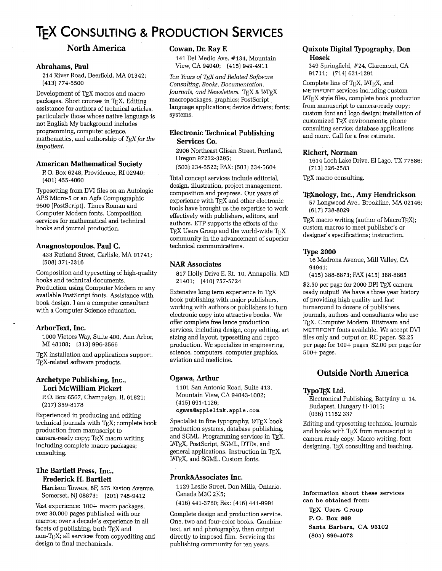## **TEX CONSULTING & PRODUCTION SERVICES**

#### **North America**

#### **Abraharns, Paul**

214 River Road, Deerfield, MA 01342; (413) 774-5500

Development of TEX macros and macro packages. Short courses in TFX. Editing assistance for authors of technical articles, particularly those whose native language is not English My background includes programming, computer science, mathematics, and authorship of  $TEX$  for the Impatient.

#### **American Mathematical Society**

F! 0. Box 6248, Providence, **RI** 02940; (401) 455-4060

Typesetting from DVI files on an Autologic APS Micro-5 or an Agfa Compugraphic 9600 (PostScript). Times Roman and Computer Modern fonts. Composition ,services for mathematical and technical books and journal production.

#### **Anagnostopoulos, Paul C.**

433 Rutland Street, Carlisle, MA 01741; (508) 371-2316

Composition and typesetting of high-quality books and technical documents. Production using Computer Modern or any available PostScript fonts. Assistance with book design. I am a computer consultant with a Computer Science education.

#### **ArborText, Inc.**

1000 Victors Way, Suite 400, Ann Arbor, **MI** 48108; (313) 996-3566

T<sub>F</sub>X installation and applications support. T<sub>E</sub>X-related software products.

#### **Archetype Publishing, Inc., Lori McWilliam Pickert**

P. 0. Box 6567, Champaign, IL 61821; (217) 359-8178

Experienced in producing and editing technical journals with TFX; complete book production from manuscript to camera-ready copy; TEX macro writing including complete macro packages; consulting.

#### **The Bartlett Press, Inc., Frederick H. Bartlett**

Harrison Towers, **6E** 575 Easton Avenue, Somerset, NJ 08873; (201) 745-9412

Vast experience: 100+ macro packages, over 30,000 pages published with our macros; over a decade's experience in all facets of publishing, both  $T_{F}X$  and non-QX; all services from copyediting and design to final mechanicals.

#### **Cowan, Dr. Ray E**

141 Del Medio Ave. #134, Mountain View, CA 94040; (415) 949-4911

Ten Years of T<sub>F</sub>X and Related Software Consulting, Books, Documentation, Journals, and Newsletters. TFX & IATEX macropackages, graphics; PostScript language applications; device drivers; fonts; systems.

#### **Electronic Technical Publishing Services Co.**

2906 Northeast Glisan Street, Portland, Oregon 97232-3295;

(503) 234-5522; FAX: (503) 234-5604

Total concept services include editorial, design, illustration, project management, composition and prepress. Our years of experience with TFX and other electronic tools have brought us the expertise to work effectively with publishers, editors, and authors. ETP supports the efforts of the TEX Users Group and the world-wide TEX community in the advancement of superior technical communications.

#### **NAR Associates**

817 Holly Drive E. Rt. 10, Annapolis, MD 21401; (410) 757-5724

Extensive long term experience in TFX book publishing with major publishers, working with authors or publishers to turn electronic copy into attractive books. We offer complete free lance production services, including design, copy editing, art sizing and layout, typesetting and repro production. We specialize in engineering, science, computers, computer graphics, aviation and medicine.

#### **Ogawa, Arthur**

1101 San Antonio Road, Suite 413, Mountain View, CA 94043-1002; (415) 691-1126;

**ogawa(0applelink.apple.com.** 

Specialist in fine typography,  $IATEX$  book production systems, database publishing, and SGML. Programming services in TFX, WX, PostScript, SGML, DTDs, and general applications. Instruction in QX, I<sup>A</sup>T<sub>F</sub>X, and SGML. Custom fonts.

#### **Pronk&Associates Inc.**

1129 Leslie Street, Don Mills, Ontario, Canada M3C 2K5;

(416) 441-3760; Fax: (416) 441-9991

Complete design and production service. One, two and four-color books. Combine text, art and photography, then output directly to imposed film. Servicing the publishing community for ten years.

#### **Quixote Digital Typography, Don Hosek**

349 Springfield, #24, Claremont, CA 91711; (714) 621-1291

Complete line of TEX, IATEX, and METAFONT services including custom IATEX style files, complete book production from manuscript to camera-ready copy; custom font and logo design; installation of customized T<sub>E</sub>X environments; phone consulting service; database applications and more. Call for a free estimate.

#### **Richert, Norman**

1614 Loch Lake Drive, El Lago, TX 77586; (713) 326-2583

T<sub>E</sub>X macro consulting.

#### **TEXnology, Inc., Amy Hendrickson**

57 Longwood Ave., Brookline, MA 02146; (617) 738-8029

 $TeX$  macro writing (author of Macro $TEX$ ); custom macros to meet publisher's or designer's specifications; instruction.

#### **Type 2000**

16 Madrona Avenue, Mill Valley, CA 94941;

(415) 388-8873; FAX (415) 388-8865

\$2.50 per page for 2000 DPI TFX camera ready output! We have a three year history of providing high quality and fast turnaround to dozens of publishers, journals, authors and consultants who use T<sub>E</sub>X. Computer Modern, Bitstream and METAFONT fonts available. We accept DVI files only and output on RC paper. \$2.25 per page for 100+ pages, \$2.00 per page for 500+ pages.

#### **Outside North America**

#### **TypoTFX Ltd.**

Electronical Publishing, Battyány u. 14. Budapest, Hungary H-1015; (036) 11152 337

Editing and typesetting technical journals and books with TEX from manuscript to camera ready copy. Macro writing, font designing, TEX consulting and teaching.

**Information about these services can be obtained from:**  TEX **Users Group P. 0. Box** <sup>869</sup> **Santa Barbara, CA** 93102 (805) 899-4673